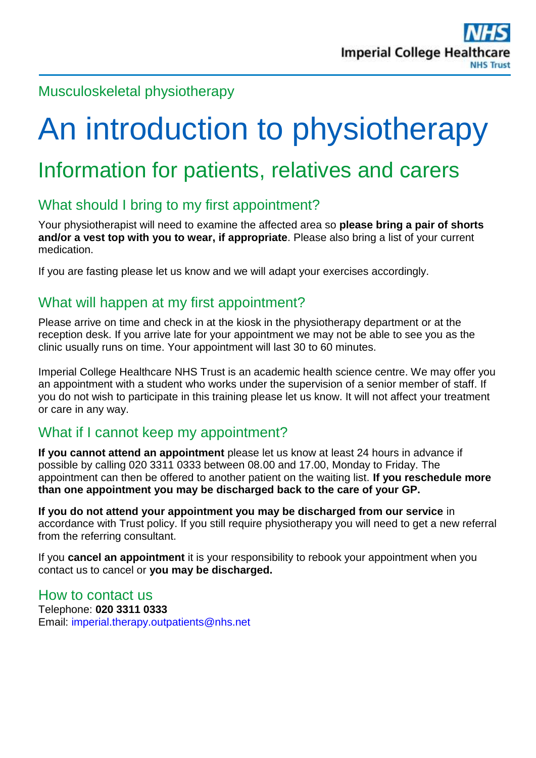## Musculoskeletal physiotherapy

# An introduction to physiotherapy

# Information for patients, relatives and carers

# What should I bring to my first appointment?

Your physiotherapist will need to examine the affected area so **please bring a pair of shorts and/or a vest top with you to wear, if appropriate**. Please also bring a list of your current medication.

If you are fasting please let us know and we will adapt your exercises accordingly.

#### What will happen at my first appointment?

Please arrive on time and check in at the kiosk in the physiotherapy department or at the reception desk. If you arrive late for your appointment we may not be able to see you as the clinic usually runs on time. Your appointment will last 30 to 60 minutes.

Imperial College Healthcare NHS Trust is an academic health science centre. We may offer you an appointment with a student who works under the supervision of a senior member of staff. If you do not wish to participate in this training please let us know. It will not affect your treatment or care in any way.

### What if I cannot keep my appointment?

**If you cannot attend an appointment** please let us know at least 24 hours in advance if possible by calling 020 3311 0333 between 08.00 and 17.00, Monday to Friday. The appointment can then be offered to another patient on the waiting list. **If you reschedule more than one appointment you may be discharged back to the care of your GP.**

**If you do not attend your appointment you may be discharged from our service** in accordance with Trust policy. If you still require physiotherapy you will need to get a new referral from the referring consultant.

If you **cancel an appointment** it is your responsibility to rebook your appointment when you contact us to cancel or **you may be discharged.** 

#### How to contact us

Telephone: **020 3311 0333** Email: [imperial.therapy.outpatients@nhs.net](mailto:imperial.therapy.outpatients@nhs.net)